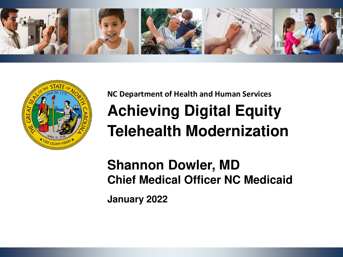



## **NC Department of Health and Human Services Achieving Digital Equity Telehealth Modernization**

**Shannon Dowler, MD Chief Medical Officer NC Medicaid**

**January 2022**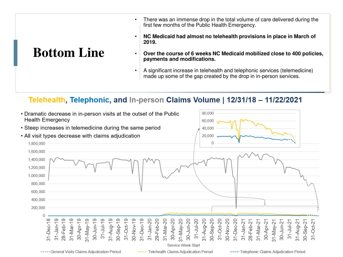- There was an immense drop in the total volume of care delivered during the first few months of the Public Health Emergency.
- **NC Medicaid had almost no telehealth provisions in place in March of 2019.**

## **Bottom Line**

- **Over the course of 6 weeks NC Medicaid mobilized close to 400 policies, payments and modifications.**
- A significant increase in telehealth and telephonic services (telemedicine) made up some of the gap created by the drop in in-person services.

#### Telehealth, Telephonic, and In-person Claims Volume | 12/31/18 - 11/22/2021

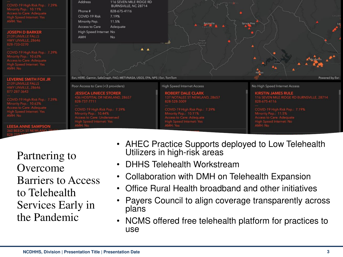

Partnering to Overcome Barriers to Access to Telehealth Services Early in the Pandemic

- AHEC Practice Supports deployed to Low Telehealth Utilizers in high-risk areas
- DHHS Telehealth Workstream
- Collaboration with DMH on Telehealth Expansion
- Office Rural Health broadband and other initiatives
- Payers Council to align coverage transparently across plans
- NCMS offered free telehealth platform for practices to use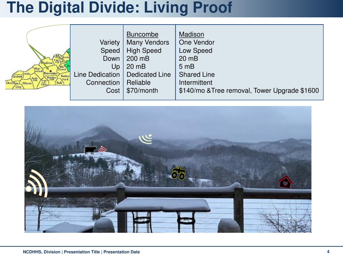## **The Digital Divide: Living Proof**

| Buncombe <sup>®</sup>                                               | Variety<br>Speed<br>Down<br>Up<br>Line Dedication | <b>Buncombe</b><br><b>Many Vendors</b><br><b>High Speed</b><br>200 mB<br>$20 \text{ m}$ B<br>Dedicated Line | Madison<br>One Vendor<br>Low Speed<br>$20 \text{ m}$ B<br>5 <sub>mB</sub><br><b>Shared Line</b> |
|---------------------------------------------------------------------|---------------------------------------------------|-------------------------------------------------------------------------------------------------------------|-------------------------------------------------------------------------------------------------|
| <b>Ruther</b><br>'Graham<br>Hender-<br>\ford                        |                                                   |                                                                                                             |                                                                                                 |
| Tran's<br><i>syl:</i><br>vania<br>Cherokee<br>Polk<br>Macon<br>Clay | Connection                                        | Reliable                                                                                                    | Intermittent                                                                                    |
|                                                                     | Cost                                              | \$70/month                                                                                                  | \$140/mo & Tree removal, Tower Upgrade \$1600                                                   |

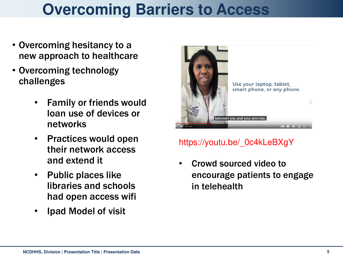# **Overcoming Barriers to Access**

- Overcoming hesitancy to a new approach to healthcare
- Overcoming technology challenges
	- Family or friends would loan use of devices or networks
	- Practices would open their network access and extend it
	- Public places like libraries and schools had open access wifi
	- Ipad Model of visit



### https://youtu.be/\_0c4kLeBXgY

• Crowd sourced video to encourage patients to engage in telehealth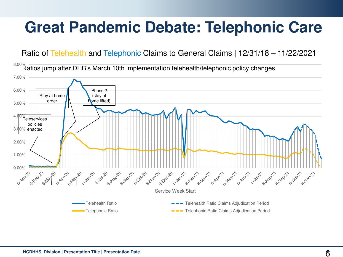# **Great Pandemic Debate: Telephonic Care**

Ratio of Telehealth and Telephonic Claims to General Claims | 12/31/18 – 11/22/2021

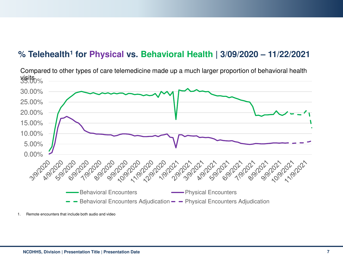### **% Telehealth<sup>1</sup> for Physical vs. Behavioral Health | 3/09/2020 – 11/22/2021**



Compared to other types of care telemedicine made up a much larger proportion of behavioral health

<sup>1.</sup> Remote encounters that include both audio and video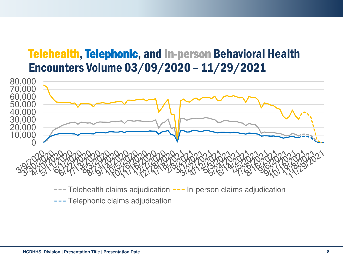### Telehealth, Telephonic, and In-person Behavioral Health Encounters Volume 03/09/2020 – 11/29/2021



 $---$  Telehealth claims adjudication  $---$  In-person claims adjudication

--- Telephonic claims adjudication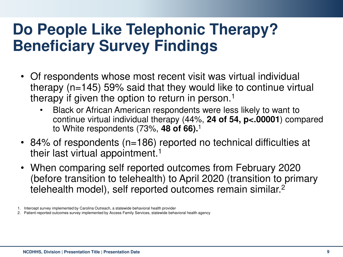## **Do People Like Telephonic Therapy? Beneficiary Survey Findings**

- Of respondents whose most recent visit was virtual individual therapy (n=145) 59% said that they would like to continue virtual therapy if given the option to return in person.<sup>1</sup>
	- Black or African American respondents were less likely to want to continue virtual individual therapy (44%, **24 of 54, p<.00001**) compared to White respondents (73%, **48 of 66).**<sup>1</sup>
- 84% of respondents (n=186) reported no technical difficulties at their last virtual appointment.<sup>1</sup>
- When comparing self reported outcomes from February 2020 (before transition to telehealth) to April 2020 (transition to primary telehealth model), self reported outcomes remain similar.<sup>2</sup>

<sup>1.</sup> Intercept survey implemented by Carolina Outreach, a statewide behavioral health provider

<sup>2.</sup> Patient-reported outcomes survey implemented by Access Family Services, statewide behavioral health agency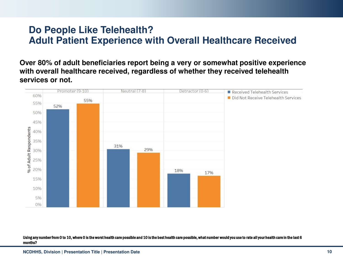### **Do People Like Telehealth? Adult Patient Experience with Overall Healthcare Received**

**Over 80% of adult beneficiaries report being a very or somewhat positive experience with overall healthcare received, regardless of whether they received telehealth services or not.**



Using any number from 0 to 10, where 0 is the worst health care possible and 10 is the best health care possible, what number would you use to rate all your health care in the last 6 months?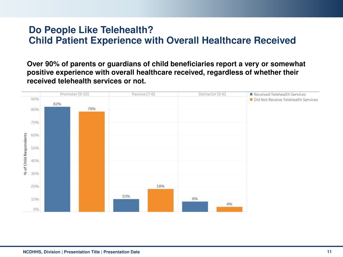### **Do People Like Telehealth? Child Patient Experience with Overall Healthcare Received**

**Over 90% of parents or guardians of child beneficiaries report a very or somewhat positive experience with overall healthcare received, regardless of whether their received telehealth services or not.**

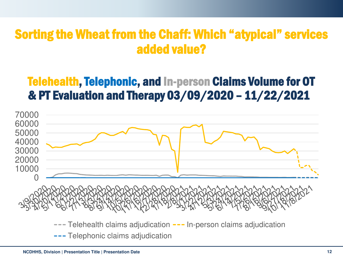## Sorting the Wheat from the Chaff: Which "atypical" services added value?

## Telehealth, Telephonic, and In-person Claims Volume for OT & PT Evaluation and Therapy 03/09/2020 – 11/22/2021

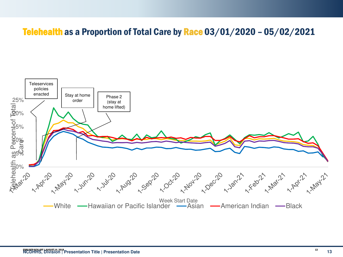### Telehealth as a Proportion of Total Care by Race 03/01/2020 – 05/02/2021

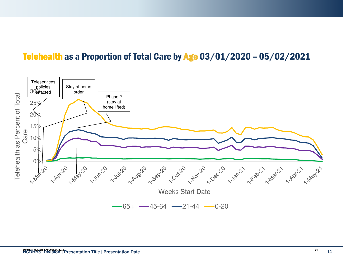### Telehealth as a Proportion of Total Care by Age 03/01/2020 – 05/02/2021

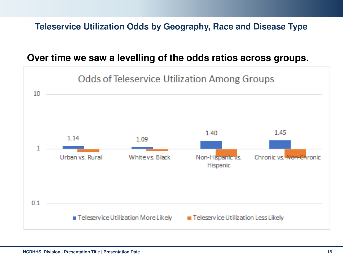### **Teleservice Utilization Odds by Geography, Race and Disease Type**

#### **Over time we saw a levelling of the odds ratios across groups.**

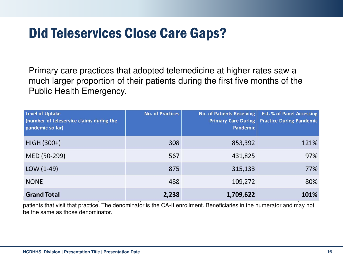## Did Teleservices Close Care Gaps?

Primary care practices that adopted telemedicine at higher rates saw a much larger proportion of their patients during the first five months of the Public Health Emergency.

| Level of Uptake<br>(number of teleservice claims during the<br>pandemic so far) | <b>No. of Practices</b> | <b>No. of Patients Receiving</b><br><b>Primary Care During</b><br><b>Pandemic</b> | <b>Est. % of Panel Accessing</b><br><b>Practice During Pandemic</b> |
|---------------------------------------------------------------------------------|-------------------------|-----------------------------------------------------------------------------------|---------------------------------------------------------------------|
| HIGH (300+)                                                                     | 308                     | 853,392                                                                           | 121%                                                                |
| MED (50-299)                                                                    | 567                     | 431,825                                                                           | 97%                                                                 |
| $LOW (1-49)$                                                                    | 875                     | 315,133                                                                           | 77%                                                                 |
| <b>NONE</b>                                                                     | 488                     | 109,272                                                                           | 80%                                                                 |
| <b>Grand Total</b>                                                              | 2,238                   | 1,709,622                                                                         | 101%                                                                |

patients that visit that practice. The denominator is the CA-II enrollment. Beneficiaries in the numerator and may not be the same as those denominator.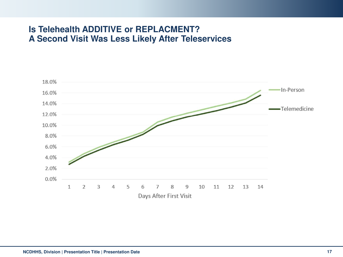#### **Is Telehealth ADDITIVE or REPLACMENT? A Second Visit Was Less Likely After Teleservices**